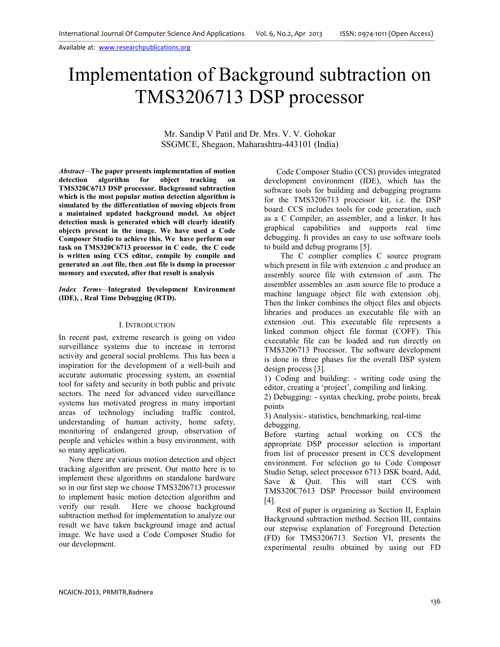# Implementation of Background subtraction on TMS3206713 DSP processor

Mr. Sandip V Patil and Dr. Mrs. V. V. Gohokar SSGMCE, Shegaon, Maharashtra-443101 (India)

*Abstract—***The paper presents implementation of motion detection algorithm for object tracking on TMS320C6713 DSP processor. Background subtraction which is the most popular motion detection algorithm is simulated by the differentiation of moving objects from a maintained updated background model. An object detection mask is generated which will clearly identify objects present in the image. We have used a Code Composer Studio to achieve this. We have perform our task on TMS320C6713 processor in C code, the C code is written using CCS editor, compile by compile and generated an .out file, then .out file is dump in processor memory and executed, after that result is analysis**

#### *Index Terms—***Integrated Development Environment (IDE), , Real Time Debugging (RTD).**

#### I. INTRODUCTION

In recent past, extreme research is going on video surveillance systems due to increase in terrorist activity and general social problems. This has been a inspiration for the development of a well-built and accurate automatic processing system, an essential tool for safety and security in both public and private sectors. The need for advanced video surveillance systems has motivated progress in many important areas of technology including traffic control, understanding of human activity, home safety, monitoring of endangered group, observation of people and vehicles within a busy environment, with so many application.

 Now there are various motion detection and object tracking algorithm are present. Our motto here is to implement these algorithms on standalone hardware so in our first step we choose TMS3206713 processor to implement basic motion detection algorithm and verify our result. Here we choose background subtraction method for implementation to analyze our result we have taken background image and actual image. We have used a Code Composer Studio for our development.

 Code Composer Studio (CCS) provides integrated development environment (IDE), which has the software tools for building and debugging programs for the TMS3206713 processor kit, i.e. the DSP board. CCS includes tools for code generation, such as a C Compiler, an assembler, and a linker. It has graphical capabilities and supports real time debugging. It provides an easy to use software tools to build and debug programs [5].

 The C complier complies C source program which present in file with extension .c and produce an assembly source file with extension of .asm. The assembler assembles an .asm source file to produce a machine language object file with extension .obj. Then the linker combines the object files and objects libraries and produces an executable file with an extension .out. This executable file represents a linked common object file format (COFF). This executable file can be loaded and run directly on TMS3206713 Processor. The software development is done in three phases for the overall DSP system design process [3].

1) Coding and building: - writing code using the editor, creating a 'project', compiling and linking.

2) Debugging: - syntax checking, probe points, break points

3) Analysis:- statistics, benchmarking, real-time debugging.

Before starting actual working on CCS the appropriate DSP processor selection is important from list of processor present in CCS development environment. For selection go to Code Composer Studio Setup, select processor 6713 DSK board, Add, Save & Quit. This will start CCS with TMS320C7613 DSP Processor build environment [4].

 Rest of paper is organizing as Section II, Explain Background subtraction method. Section III, contains our stepwise explanation of Foreground Detection (FD) for TMS3206713. Section VI, presents the experimental results obtained by using our FD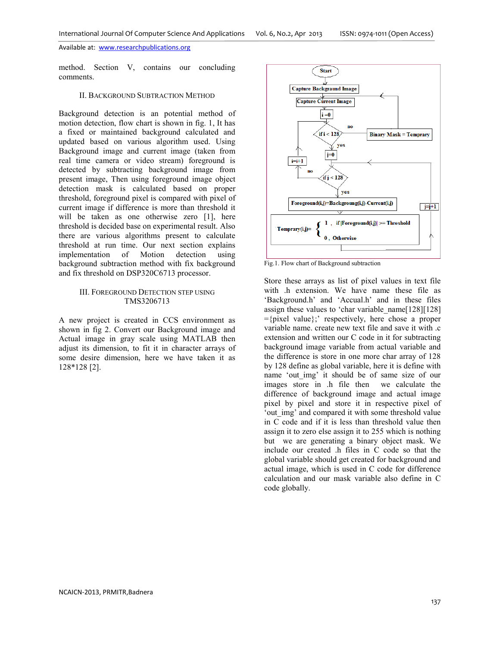method. Section V, contains our concluding comments.

### II. BACKGROUND SUBTRACTION METHOD

Background detection is an potential method of motion detection, flow chart is shown in fig. 1, It has a fixed or maintained background calculated and updated based on various algorithm used. Using Background image and current image (taken from real time camera or video stream) foreground is detected by subtracting background image from present image, Then using foreground image object detection mask is calculated based on proper threshold, foreground pixel is compared with pixel of current image if difference is more than threshold it will be taken as one otherwise zero [1], here threshold is decided base on experimental result. Also there are various algorithms present to calculate threshold at run time. Our next section explains implementation of Motion detection using background subtraction method with fix background and fix threshold on DSP320C6713 processor.

## III. FOREGROUND DETECTION STEP USING TMS3206713

A new project is created in CCS environment as shown in fig 2. Convert our Background image and Actual image in gray scale using MATLAB then adjust its dimension, to fit it in character arrays of some desire dimension, here we have taken it as 128\*128 [2].



Fig.1. Flow chart of Background subtraction

Store these arrays as list of pixel values in text file with .h extension. We have name these file as 'Background.h' and 'Accual.h' and in these files assign these values to 'char variable\_name[128][128] ={pixel value};' respectively, here chose a proper variable name. create new text file and save it with .c extension and written our C code in it for subtracting background image variable from actual variable and the difference is store in one more char array of 128 by 128 define as global variable, here it is define with name 'out\_img' it should be of same size of our images store in .h file then we calculate the difference of background image and actual image pixel by pixel and store it in respective pixel of 'out img' and compared it with some threshold value in C code and if it is less than threshold value then assign it to zero else assign it to 255 which is nothing but we are generating a binary object mask. We include our created .h files in C code so that the global variable should get created for background and actual image, which is used in C code for difference calculation and our mask variable also define in C code globally.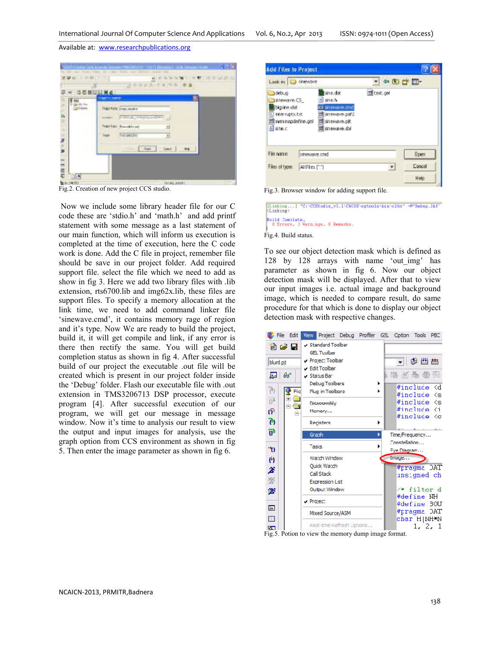

Fig.2. Creation of new project CCS studio.

 Now we include some library header file for our C code these are 'stdio.h' and 'math.h' and add printf statement with some message as a last statement of our main function, which will inform us execution is completed at the time of execution, here the C code work is done. Add the C file in project, remember file should be save in our project folder. Add required support file. select the file which we need to add as show in fig 3. Here we add two library files with .lib extension, rts6700.lib and img62x.lib, these files are support files. To specify a memory allocation at the link time, we need to add command linker file 'sinewave.cmd', it contains memory rage of region and it's type. Now We are ready to build the project, build it, it will get compile and link, if any error is there then rectify the same. You will get build completion status as shown in fig 4. After successful build of our project the executable .out file will be created which is present in our project folder inside the 'Debug' folder. Flash our executable file with .out extension in TMS3206713 DSP processor, execute program [4]. After successful execution of our program, we will get our message in message window. Now it's time to analysis our result to view the output and input images for analysis, use the graph option from CCS environment as shown in fig 5. Then enter the image parameter as shown in fig 6.

| Look inc<br><b>I</b> distribute                                                           |                                                                                                                | $+ 100 + 10$       |         |
|-------------------------------------------------------------------------------------------|----------------------------------------------------------------------------------------------------------------|--------------------|---------|
| debug<br>sinewave.CS<br>blasine idat<br>interrupts.txt<br>西 nen napdefine.gel<br>G sine.c | sine dat<br>hì she.h<br>El sinewave.cmd<br>图 sinewave.paf2<br><b>Ed sinewave.pit</b><br><b>El</b> sinewave.sbi | <b>Ed</b> test.gel |         |
|                                                                                           | sinewave.cnd                                                                                                   |                    | $0$ pen |
| File name:                                                                                |                                                                                                                |                    |         |

Fig.3. Browser window for adding support file.

[Linking...] "C:\CCBtudie\_v3.1\C6COD\cytools\bin\c16t" -0"Debug.1kf'<br><Cinking> Build Complete,<br>0 Errors, 3 Wernings, 0 Remerks.

Fig.4. Build status.

To see our object detection mask which is defined as 128 by 128 arrays with name 'out\_img' has parameter as shown in fig 6. Now our object detection mask will be displayed. After that to view our input images i.e. actual image and background image, which is needed to compare result, do same procedure for that which is done to display our object detection mask with respective changes.



Fig.5. Potion to view the memory dump image format.